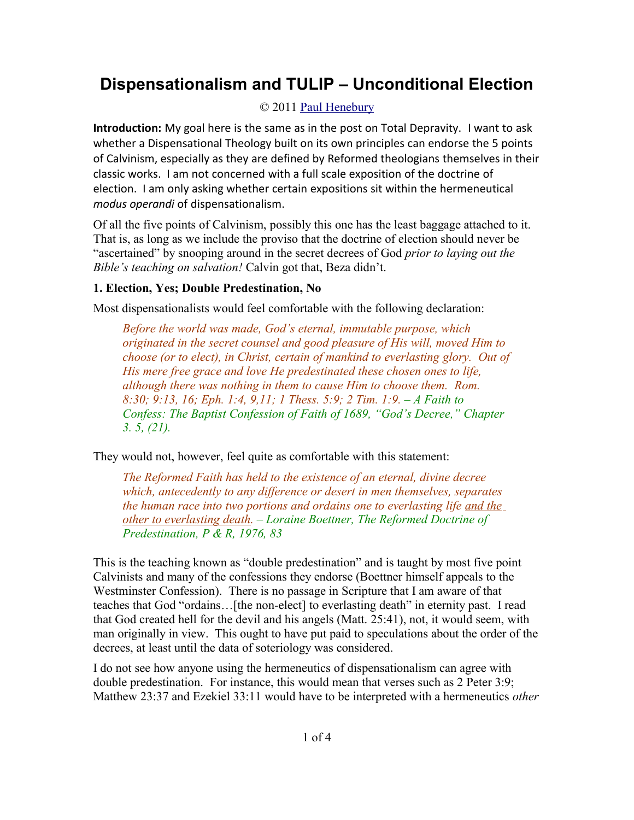# **Dispensationalism and TULIP – Unconditional Election**

# © 2011 [Paul Henebury](http://www.spiritandtruth.org/id/ph.htm)

**Introduction:** My goal here is the same as in the post on Total Depravity. I want to ask whether a Dispensational Theology built on its own principles can endorse the 5 points of Calvinism, especially as they are defined by Reformed theologians themselves in their classic works. I am not concerned with a full scale exposition of the doctrine of election. I am only asking whether certain expositions sit within the hermeneutical *modus operandi* of dispensationalism.

Of all the five points of Calvinism, possibly this one has the least baggage attached to it. That is, as long as we include the proviso that the doctrine of election should never be "ascertained" by snooping around in the secret decrees of God *prior to laying out the Bible's teaching on salvation!* Calvin got that, Beza didn't.

## **1. Election, Yes; Double Predestination, No**

Most dispensationalists would feel comfortable with the following declaration:

*Before the world was made, God's eternal, immutable purpose, which originated in the secret counsel and good pleasure of His will, moved Him to choose (or to elect), in Christ, certain of mankind to everlasting glory. Out of His mere free grace and love He predestinated these chosen ones to life, although there was nothing in them to cause Him to choose them. Rom. 8:30; 9:13, 16; Eph. 1:4, 9,11; 1 Thess. 5:9; 2 Tim. 1:9. – A Faith to Confess: The Baptist Confession of Faith of 1689, "God's Decree," Chapter 3. 5, (21).*

They would not, however, feel quite as comfortable with this statement:

*The Reformed Faith has held to the existence of an eternal, divine decree which, antecedently to any difference or desert in men themselves, separates the human race into two portions and ordains one to everlasting life and the other to everlasting death. – Loraine Boettner, The Reformed Doctrine of Predestination, P & R, 1976, 83*

This is the teaching known as "double predestination" and is taught by most five point Calvinists and many of the confessions they endorse (Boettner himself appeals to the Westminster Confession). There is no passage in Scripture that I am aware of that teaches that God "ordains…[the non-elect] to everlasting death" in eternity past. I read that God created hell for the devil and his angels (Matt. 25:41), not, it would seem, with man originally in view. This ought to have put paid to speculations about the order of the decrees, at least until the data of soteriology was considered.

I do not see how anyone using the hermeneutics of dispensationalism can agree with double predestination. For instance, this would mean that verses such as 2 Peter 3:9; Matthew 23:37 and Ezekiel 33:11 would have to be interpreted with a hermeneutics *other*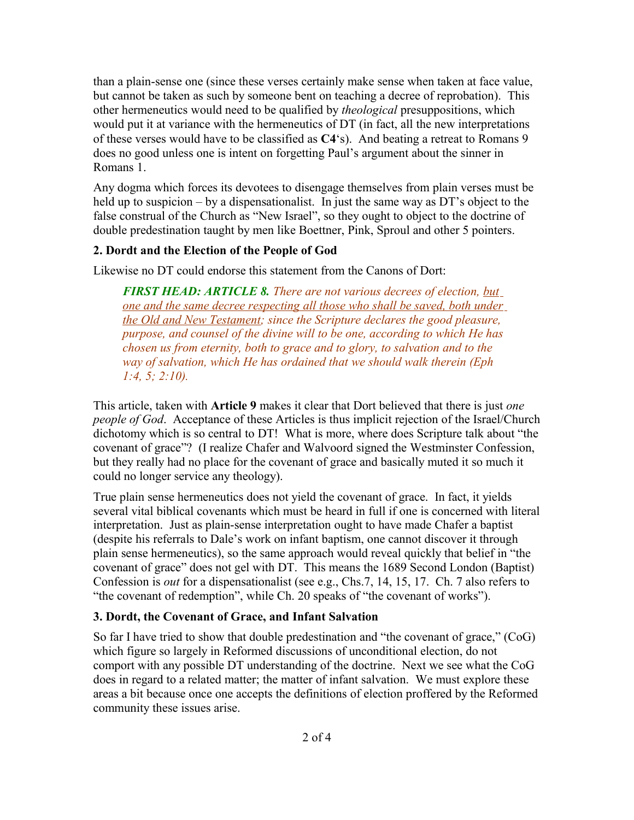than a plain-sense one (since these verses certainly make sense when taken at face value, but cannot be taken as such by someone bent on teaching a decree of reprobation). This other hermeneutics would need to be qualified by *theological* presuppositions, which would put it at variance with the hermeneutics of DT (in fact, all the new interpretations of these verses would have to be classified as **C4**'s). And beating a retreat to Romans 9 does no good unless one is intent on forgetting Paul's argument about the sinner in Romans 1.

Any dogma which forces its devotees to disengage themselves from plain verses must be held up to suspicion – by a dispensationalist. In just the same way as DT's object to the false construal of the Church as "New Israel", so they ought to object to the doctrine of double predestination taught by men like Boettner, Pink, Sproul and other 5 pointers.

### **2. Dordt and the Election of the People of God**

Likewise no DT could endorse this statement from the Canons of Dort:

*FIRST HEAD: ARTICLE 8. There are not various decrees of election, but one and the same decree respecting all those who shall be saved, both under the Old and New Testament; since the Scripture declares the good pleasure, purpose, and counsel of the divine will to be one, according to which He has chosen us from eternity, both to grace and to glory, to salvation and to the way of salvation, which He has ordained that we should walk therein (Eph 1:4, 5; 2:10).*

This article, taken with **Article 9** makes it clear that Dort believed that there is just *one people of God*. Acceptance of these Articles is thus implicit rejection of the Israel/Church dichotomy which is so central to DT! What is more, where does Scripture talk about "the covenant of grace"? (I realize Chafer and Walvoord signed the Westminster Confession, but they really had no place for the covenant of grace and basically muted it so much it could no longer service any theology).

True plain sense hermeneutics does not yield the covenant of grace. In fact, it yields several vital biblical covenants which must be heard in full if one is concerned with literal interpretation. Just as plain-sense interpretation ought to have made Chafer a baptist (despite his referrals to Dale's work on infant baptism, one cannot discover it through plain sense hermeneutics), so the same approach would reveal quickly that belief in "the covenant of grace" does not gel with DT. This means the 1689 Second London (Baptist) Confession is *out* for a dispensationalist (see e.g., Chs.7, 14, 15, 17. Ch. 7 also refers to "the covenant of redemption", while Ch. 20 speaks of "the covenant of works").

#### **3. Dordt, the Covenant of Grace, and Infant Salvation**

So far I have tried to show that double predestination and "the covenant of grace," (CoG) which figure so largely in Reformed discussions of unconditional election, do not comport with any possible DT understanding of the doctrine. Next we see what the CoG does in regard to a related matter; the matter of infant salvation. We must explore these areas a bit because once one accepts the definitions of election proffered by the Reformed community these issues arise.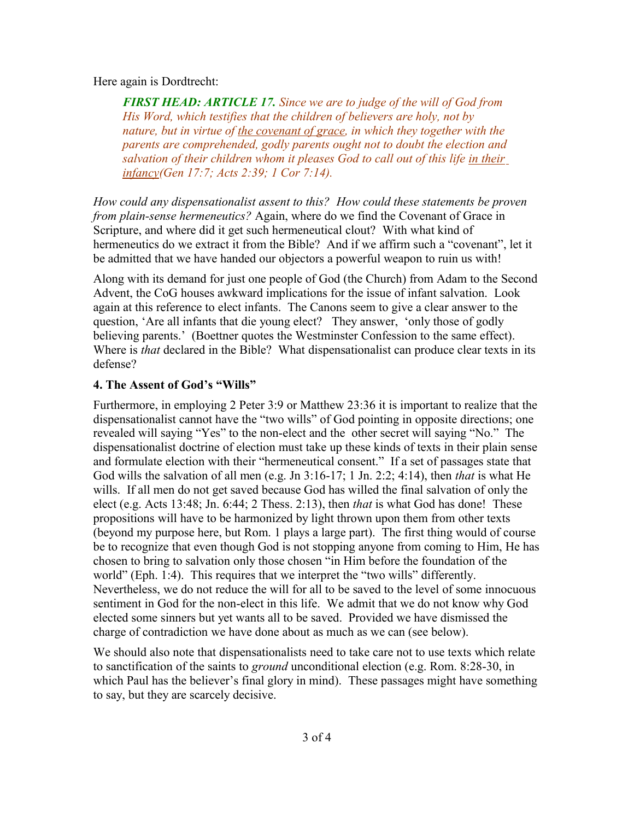#### Here again is Dordtrecht:

*FIRST HEAD: ARTICLE 17. Since we are to judge of the will of God from His Word, which testifies that the children of believers are holy, not by nature, but in virtue of the covenant of grace, in which they together with the parents are comprehended, godly parents ought not to doubt the election and salvation of their children whom it pleases God to call out of this life in their infancy(Gen 17:7; Acts 2:39; 1 Cor 7:14).*

*How could any dispensationalist assent to this? How could these statements be proven from plain-sense hermeneutics?* Again, where do we find the Covenant of Grace in Scripture, and where did it get such hermeneutical clout? With what kind of hermeneutics do we extract it from the Bible? And if we affirm such a "covenant", let it be admitted that we have handed our objectors a powerful weapon to ruin us with!

Along with its demand for just one people of God (the Church) from Adam to the Second Advent, the CoG houses awkward implications for the issue of infant salvation. Look again at this reference to elect infants. The Canons seem to give a clear answer to the question, 'Are all infants that die young elect? They answer, 'only those of godly believing parents.' (Boettner quotes the Westminster Confession to the same effect). Where is *that* declared in the Bible? What dispensationalist can produce clear texts in its defense?

#### **4. The Assent of God's "Wills"**

Furthermore, in employing 2 Peter 3:9 or Matthew 23:36 it is important to realize that the dispensationalist cannot have the "two wills" of God pointing in opposite directions; one revealed will saying "Yes" to the non-elect and the other secret will saying "No." The dispensationalist doctrine of election must take up these kinds of texts in their plain sense and formulate election with their "hermeneutical consent." If a set of passages state that God wills the salvation of all men (e.g. Jn 3:16-17; 1 Jn. 2:2; 4:14), then *that* is what He wills. If all men do not get saved because God has willed the final salvation of only the elect (e.g. Acts 13:48; Jn. 6:44; 2 Thess. 2:13), then *that* is what God has done! These propositions will have to be harmonized by light thrown upon them from other texts (beyond my purpose here, but Rom. 1 plays a large part). The first thing would of course be to recognize that even though God is not stopping anyone from coming to Him, He has chosen to bring to salvation only those chosen "in Him before the foundation of the world" (Eph. 1:4). This requires that we interpret the "two wills" differently. Nevertheless, we do not reduce the will for all to be saved to the level of some innocuous sentiment in God for the non-elect in this life. We admit that we do not know why God elected some sinners but yet wants all to be saved. Provided we have dismissed the charge of contradiction we have done about as much as we can (see below).

We should also note that dispensationalists need to take care not to use texts which relate to sanctification of the saints to *ground* unconditional election (e.g. Rom. 8:28-30, in which Paul has the believer's final glory in mind). These passages might have something to say, but they are scarcely decisive.